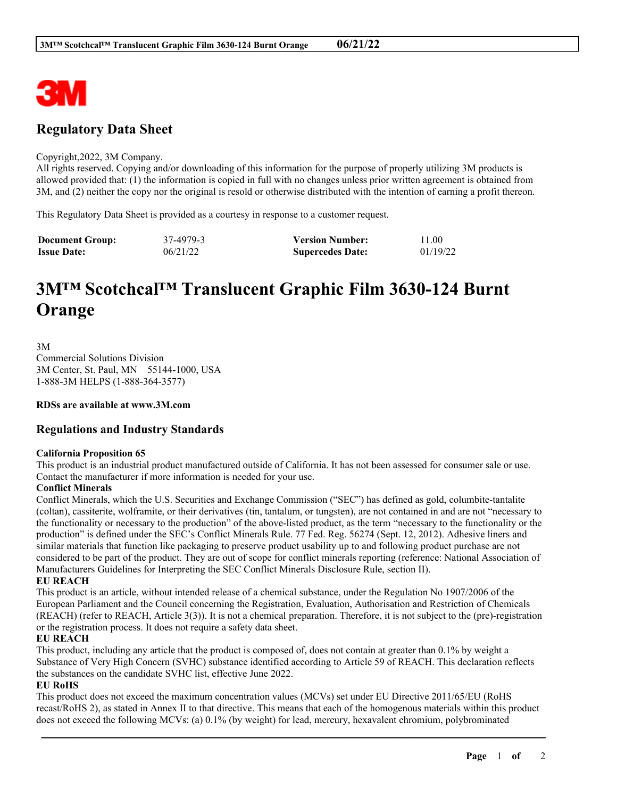

# **Regulatory Data Sheet**

#### Copyright,2022, 3M Company.

All rights reserved. Copying and/or downloading of this information for the purpose of properly utilizing 3M products is allowed provided that: (1) the information is copied in full with no changes unless prior written agreement is obtained from 3M, and (2) neither the copy nor the original is resold or otherwise distributed with the intention of earning a profit thereon.

This Regulatory Data Sheet is provided as a courtesy in response to a customer request.

| <b>Document Group:</b> | 37-4979-3 | <b>Version Number:</b>  | 11.00    |
|------------------------|-----------|-------------------------|----------|
| <b>Issue Date:</b>     | 06/21/22  | <b>Supercedes Date:</b> | 01/19/22 |

# **3M™ Scotchcal™ Translucent Graphic Film 3630-124 Burnt Orange**

3M Commercial Solutions Division 3M Center, St. Paul, MN 55144-1000, USA 1-888-3M HELPS (1-888-364-3577)

**RDSs are available at www.3M.com**

## **Regulations and Industry Standards**

#### **California Proposition 65**

This product is an industrial product manufactured outside of California. It has not been assessed for consumer sale or use. Contact the manufacturer if more information is needed for your use.

#### **Conflict Minerals**

Conflict Minerals, which the U.S. Securities and Exchange Commission ("SEC") has defined as gold, columbite-tantalite (coltan), cassiterite, wolframite, or their derivatives (tin, tantalum, or tungsten), are not contained in and are not "necessary to the functionality or necessary to the production" of the above-listed product, as the term "necessary to the functionality or the production" is defined under the SEC's Conflict Minerals Rule. 77 Fed. Reg. 56274 (Sept. 12, 2012). Adhesive liners and similar materials that function like packaging to preserve product usability up to and following product purchase are not considered to be part of the product. They are out of scope for conflict minerals reporting (reference: National Association of Manufacturers Guidelines for Interpreting the SEC Conflict Minerals Disclosure Rule, section II).

### **EU REACH**

This product is an article, without intended release of a chemical substance, under the Regulation No 1907/2006 of the European Parliament and the Council concerning the Registration, Evaluation, Authorisation and Restriction of Chemicals (REACH) (refer to REACH, Article 3(3)). It is not a chemical preparation. Therefore, it is not subject to the (pre)-registration or the registration process. It does not require a safety data sheet.

#### **EU REACH**

This product, including any article that the product is composed of, does not contain at greater than 0.1% by weight a Substance of Very High Concern (SVHC) substance identified according to Article 59 of REACH. This declaration reflects the substances on the candidate SVHC list, effective June 2022.

#### **EU RoHS**

This product does not exceed the maximum concentration values (MCVs) set under EU Directive 2011/65/EU (RoHS recast/RoHS 2), as stated in Annex II to that directive. This means that each of the homogenous materials within this product does not exceed the following MCVs: (a) 0.1% (by weight) for lead, mercury, hexavalent chromium, polybrominated

\_\_\_\_\_\_\_\_\_\_\_\_\_\_\_\_\_\_\_\_\_\_\_\_\_\_\_\_\_\_\_\_\_\_\_\_\_\_\_\_\_\_\_\_\_\_\_\_\_\_\_\_\_\_\_\_\_\_\_\_\_\_\_\_\_\_\_\_\_\_\_\_\_\_\_\_\_\_\_\_\_\_\_\_\_\_\_\_\_\_